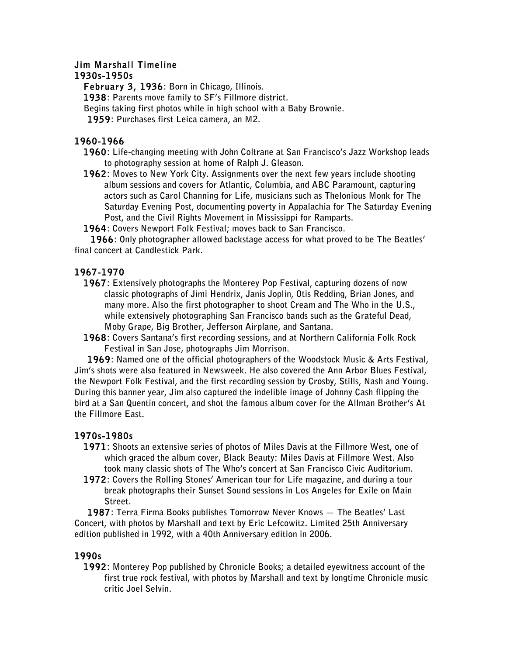# **Jim Marshall Timeline**

#### **1930s-1950s**

**February 3, 1936: Born in Chicago, Illinois.**

**1938: Parents move family to SF's Fillmore district.**

**Begins taking first photos while in high school with a Baby Brownie.**

 **1959: Purchases first Leica camera, an M2.**

#### **1960-1966**

**1960: Life-changing meeting with John Coltrane at San Francisco's Jazz Workshop leads to photography session at home of Ralph J. Gleason.**

**1962: Moves to New York City. Assignments over the next few years include shooting album sessions and covers for Atlantic, Columbia, and ABC Paramount, capturing actors such as Carol Channing for Life, musicians such as Thelonious Monk for The Saturday Evening Post, documenting poverty in Appalachia for The Saturday Evening Post, and the Civil Rights Movement in Mississippi for Ramparts.**

**1964: Covers Newport Folk Festival; moves back to San Francisco.**

 **1966: Only photographer allowed backstage access for what proved to be The Beatles' final concert at Candlestick Park.**

# **1967-1970**

- **1967: Extensively photographs the Monterey Pop Festival, capturing dozens of now classic photographs of Jimi Hendrix, Janis Joplin, Otis Redding, Brian Jones, and many more. Also the first photographer to shoot Cream and The Who in the U.S., while extensively photographing San Francisco bands such as the Grateful Dead, Moby Grape, Big Brother, Jefferson Airplane, and Santana.**
- **1968: Covers Santana's first recording sessions, and at Northern California Folk Rock Festival in San Jose, photographs Jim Morrison.**

 **1969: Named one of the official photographers of the Woodstock Music & Arts Festival, Jim's shots were also featured in Newsweek. He also covered the Ann Arbor Blues Festival, the Newport Folk Festival, and the first recording session by Crosby, Stills, Nash and Young. During this banner year, Jim also captured the indelible image of Johnny Cash flipping the bird at a San Quentin concert, and shot the famous album cover for the Allman Brother's At the Fillmore East.**

# **1970s-1980s**

- **1971: Shoots an extensive series of photos of Miles Davis at the Fillmore West, one of which graced the album cover, Black Beauty: Miles Davis at Fillmore West. Also took many classic shots of The Who's concert at San Francisco Civic Auditorium.**
- **1972: Covers the Rolling Stones' American tour for Life magazine, and during a tour break photographs their Sunset Sound sessions in Los Angeles for Exile on Main Street.**

 **1987: Terra Firma Books publishes Tomorrow Never Knows — The Beatles' Last Concert, with photos by Marshall and text by Eric Lefcowitz. Limited 25th Anniversary edition published in 1992, with a 40th Anniversary edition in 2006.**

# **1990s**

**1992: Monterey Pop published by Chronicle Books; a detailed eyewitness account of the first true rock festival, with photos by Marshall and text by longtime Chronicle music critic Joel Selvin.**